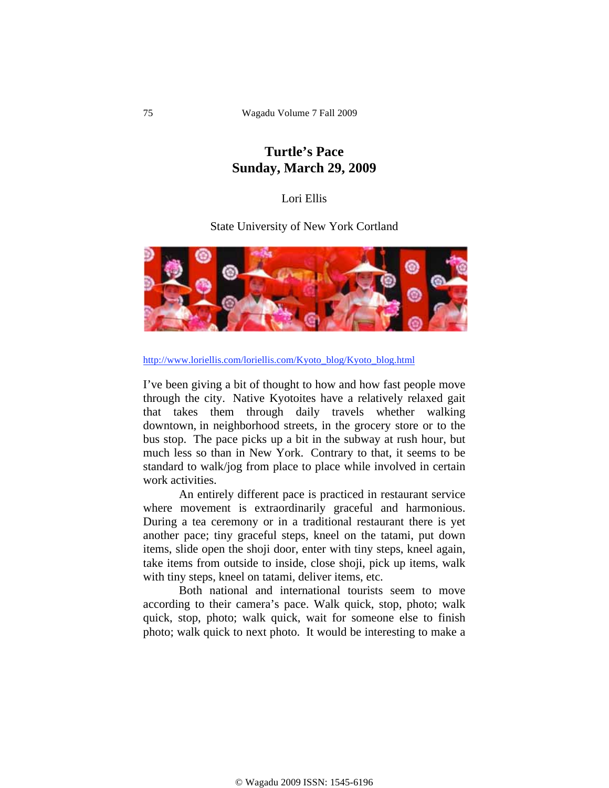## **Turtle's Pace Sunday, March 29, 2009**

## Lori Ellis

State University of New York Cortland



http://www.loriellis.com/loriellis.com/Kyoto\_blog/Kyoto\_blog.html

I've been giving a bit of thought to how and how fast people move through the city. Native Kyotoites have a relatively relaxed gait that takes them through daily travels whether walking downtown, in neighborhood streets, in the grocery store or to the bus stop. The pace picks up a bit in the subway at rush hour, but much less so than in New York. Contrary to that, it seems to be standard to walk/jog from place to place while involved in certain work activities.

 An entirely different pace is practiced in restaurant service where movement is extraordinarily graceful and harmonious. During a tea ceremony or in a traditional restaurant there is yet another pace; tiny graceful steps, kneel on the tatami, put down items, slide open the shoji door, enter with tiny steps, kneel again, take items from outside to inside, close shoji, pick up items, walk with tiny steps, kneel on tatami, deliver items, etc.

 Both national and international tourists seem to move according to their camera's pace. Walk quick, stop, photo; walk quick, stop, photo; walk quick, wait for someone else to finish photo; walk quick to next photo. It would be interesting to make a